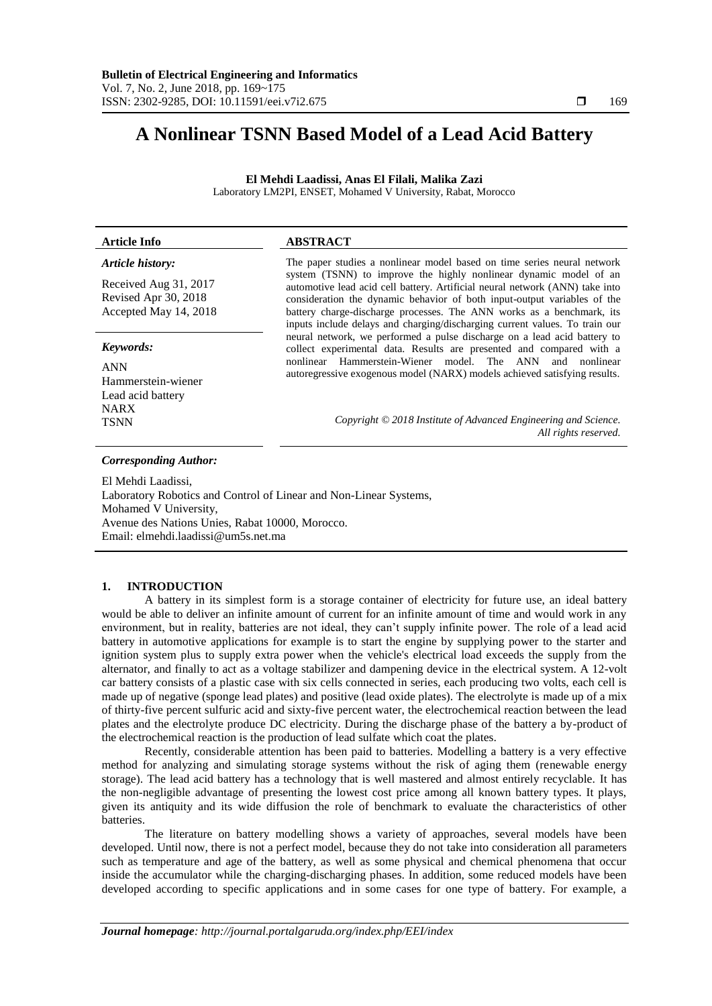# **A Nonlinear TSNN Based Model of a Lead Acid Battery**

**El Mehdi Laadissi, Anas El Filali, Malika Zazi** Laboratory LM2PI, ENSET, Mohamed V University, Rabat, Morocco

# **Article Info ABSTRACT**

# *Article history:*

Received Aug 31, 2017 Revised Apr 30, 2018 Accepted May 14, 2018

#### *Keywords:*

ANN Hammerstein-wiener Lead acid battery NARX

# system (TSNN) to improve the highly nonlinear dynamic model of an automotive lead acid cell battery. Artificial neural network (ANN) take into consideration the dynamic behavior of both input-output variables of the battery charge-discharge processes. The ANN works as a benchmark, its inputs include delays and charging/discharging current values. To train our neural network, we performed a pulse discharge on a lead acid battery to collect experimental data. Results are presented and compared with a nonlinear Hammerstein-Wiener model. The ANN and nonlinear autoregressive exogenous model (NARX) models achieved satisfying results.

The paper studies a nonlinear model based on time series neural network

TSNN *Copyright © 2018 Institute of Advanced Engineering and Science. All rights reserved.*

## *Corresponding Author:*

El Mehdi Laadissi, Laboratory Robotics and Control of Linear and Non-Linear Systems, Mohamed V University, Avenue des Nations Unies, Rabat 10000, Morocco. Email: elmehdi.laadissi@um5s.net.ma

# **1. INTRODUCTION**

A battery in its simplest form is a storage container of electricity for future use, an ideal battery would be able to deliver an infinite amount of current for an infinite amount of time and would work in any environment, but in reality, batteries are not ideal, they can't supply infinite power. The role of a lead acid battery in automotive applications for example is to start the engine by supplying power to the starter and ignition system plus to supply extra power when the vehicle's electrical load exceeds the supply from the alternator, and finally to act as a voltage stabilizer and dampening device in the electrical system. A 12-volt car battery consists of a plastic case with six cells connected in series, each producing two volts, each cell is made up of negative (sponge lead plates) and positive (lead oxide plates). The electrolyte is made up of a mix of thirty-five percent sulfuric acid and sixty-five percent water, the electrochemical reaction between the lead plates and the electrolyte produce DC electricity. During the discharge phase of the battery a by-product of the electrochemical reaction is the production of lead sulfate which coat the plates.

Recently, considerable attention has been paid to batteries. Modelling a battery is a very effective method for analyzing and simulating storage systems without the risk of aging them (renewable energy storage). The lead acid battery has a technology that is well mastered and almost entirely recyclable. It has the non-negligible advantage of presenting the lowest cost price among all known battery types. It plays, given its antiquity and its wide diffusion the role of benchmark to evaluate the characteristics of other batteries.

The literature on battery modelling shows a variety of approaches, several models have been developed. Until now, there is not a perfect model, because they do not take into consideration all parameters such as temperature and age of the battery, as well as some physical and chemical phenomena that occur inside the accumulator while the charging-discharging phases. In addition, some reduced models have been developed according to specific applications and in some cases for one type of battery. For example, a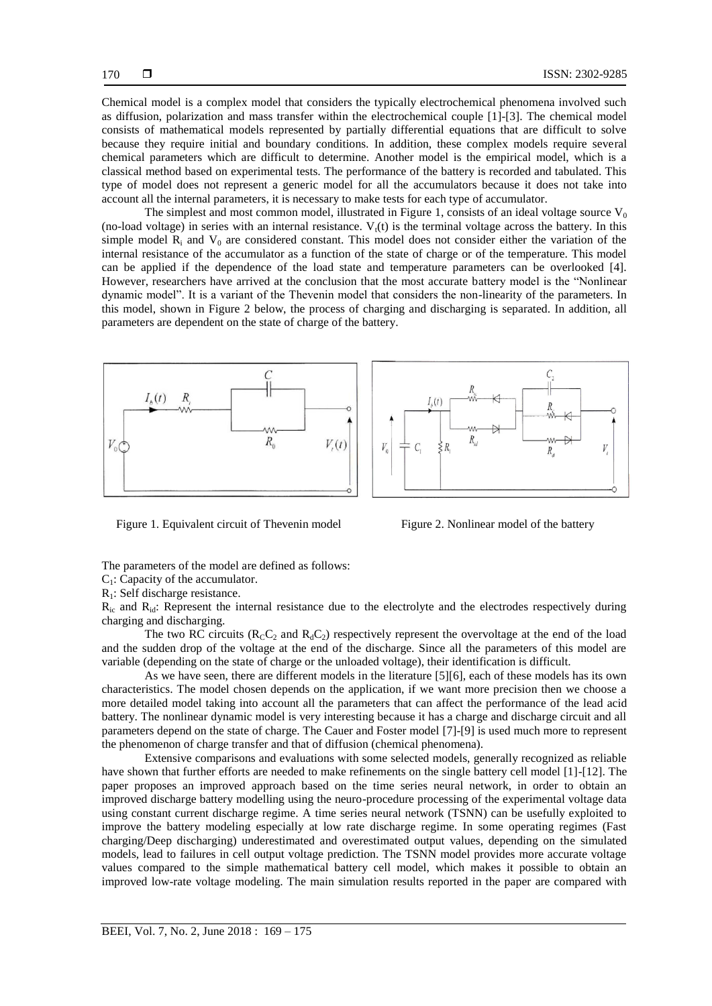Chemical model is a complex model that considers the typically electrochemical phenomena involved such as diffusion, polarization and mass transfer within the electrochemical couple [1]-[3]. The chemical model consists of mathematical models represented by partially differential equations that are difficult to solve because they require initial and boundary conditions. In addition, these complex models require several chemical parameters which are difficult to determine. Another model is the empirical model, which is a classical method based on experimental tests. The performance of the battery is recorded and tabulated. This type of model does not represent a generic model for all the accumulators because it does not take into account all the internal parameters, it is necessary to make tests for each type of accumulator.

The simplest and most common model, illustrated in Figure 1, consists of an ideal voltage source  $V_0$ (no-load voltage) in series with an internal resistance.  $V<sub>t</sub>(t)$  is the terminal voltage across the battery. In this simple model  $R_i$  and  $V_0$  are considered constant. This model does not consider either the variation of the internal resistance of the accumulator as a function of the state of charge or of the temperature. This model can be applied if the dependence of the load state and temperature parameters can be overlooked [4]. However, researchers have arrived at the conclusion that the most accurate battery model is the "Nonlinear dynamic model". It is a variant of the Thevenin model that considers the non-linearity of the parameters. In this model, shown in Figure 2 below, the process of charging and discharging is separated. In addition, all parameters are dependent on the state of charge of the battery.





Figure 1. Equivalent circuit of Thevenin model Figure 2. Nonlinear model of the battery

The parameters of the model are defined as follows:

 $C_1$ : Capacity of the accumulator.

R1: Self discharge resistance.

 $R_{ic}$  and  $R_{id}$ : Represent the internal resistance due to the electrolyte and the electrodes respectively during charging and discharging.

The two RC circuits ( $R_C C_2$  and  $R_d C_2$ ) respectively represent the overvoltage at the end of the load and the sudden drop of the voltage at the end of the discharge. Since all the parameters of this model are variable (depending on the state of charge or the unloaded voltage), their identification is difficult.

As we have seen, there are different models in the literature [5][6], each of these models has its own characteristics. The model chosen depends on the application, if we want more precision then we choose a more detailed model taking into account all the parameters that can affect the performance of the lead acid battery. The nonlinear dynamic model is very interesting because it has a charge and discharge circuit and all parameters depend on the state of charge. The Cauer and Foster model [7]-[9] is used much more to represent the phenomenon of charge transfer and that of diffusion (chemical phenomena).

Extensive comparisons and evaluations with some selected models, generally recognized as reliable have shown that further efforts are needed to make refinements on the single battery cell model [1]-[12]. The paper proposes an improved approach based on the time series neural network, in order to obtain an improved discharge battery modelling using the neuro-procedure processing of the experimental voltage data using constant current discharge regime. A time series neural network (TSNN) can be usefully exploited to improve the battery modeling especially at low rate discharge regime. In some operating regimes (Fast charging/Deep discharging) underestimated and overestimated output values, depending on the simulated models, lead to failures in cell output voltage prediction. The TSNN model provides more accurate voltage values compared to the simple mathematical battery cell model, which makes it possible to obtain an improved low-rate voltage modeling. The main simulation results reported in the paper are compared with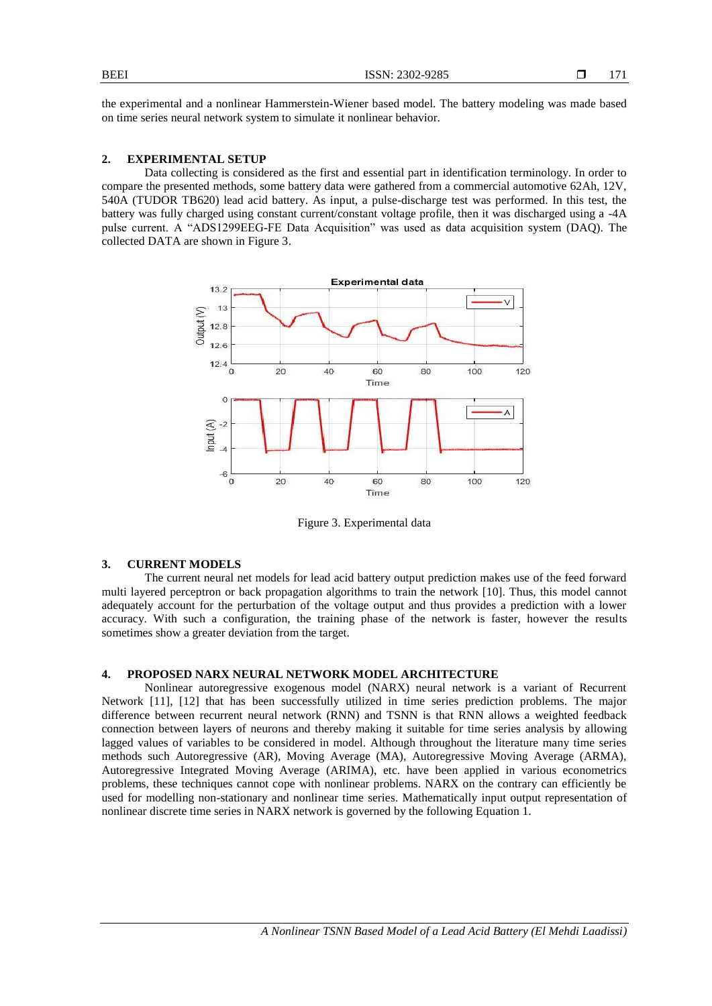**BEEI** ISSN: 2302-9285

the experimental and a nonlinear Hammerstein-Wiener based model. The battery modeling was made based on time series neural network system to simulate it nonlinear behavior.

# **2. EXPERIMENTAL SETUP**

Data collecting is considered as the first and essential part in identification terminology. In order to compare the presented methods, some battery data were gathered from a commercial automotive 62Ah, 12V, 540A (TUDOR TB620) lead acid battery. As input, a pulse-discharge test was performed. In this test, the battery was fully charged using constant current/constant voltage profile, then it was discharged using a -4A pulse current. A "ADS1299EEG-FE Data Acquisition" was used as data acquisition system (DAQ). The collected DATA are shown in Figure 3.



Figure 3. Experimental data

# **3. CURRENT MODELS**

The current neural net models for lead acid battery output prediction makes use of the feed forward multi layered perceptron or back propagation algorithms to train the network [10]. Thus, this model cannot adequately account for the perturbation of the voltage output and thus provides a prediction with a lower accuracy. With such a configuration, the training phase of the network is faster, however the results sometimes show a greater deviation from the target.

# **4. PROPOSED NARX NEURAL NETWORK MODEL ARCHITECTURE**

Nonlinear autoregressive exogenous model (NARX) neural network is a variant of Recurrent Network [11], [12] that has been successfully utilized in time series prediction problems. The major difference between recurrent neural network (RNN) and TSNN is that RNN allows a weighted feedback connection between layers of neurons and thereby making it suitable for time series analysis by allowing lagged values of variables to be considered in model. Although throughout the literature many time series methods such Autoregressive (AR), Moving Average (MA), Autoregressive Moving Average (ARMA), Autoregressive Integrated Moving Average (ARIMA), etc. have been applied in various econometrics problems, these techniques cannot cope with nonlinear problems. NARX on the contrary can efficiently be used for modelling non-stationary and nonlinear time series. Mathematically input output representation of nonlinear discrete time series in NARX network is governed by the following Equation 1.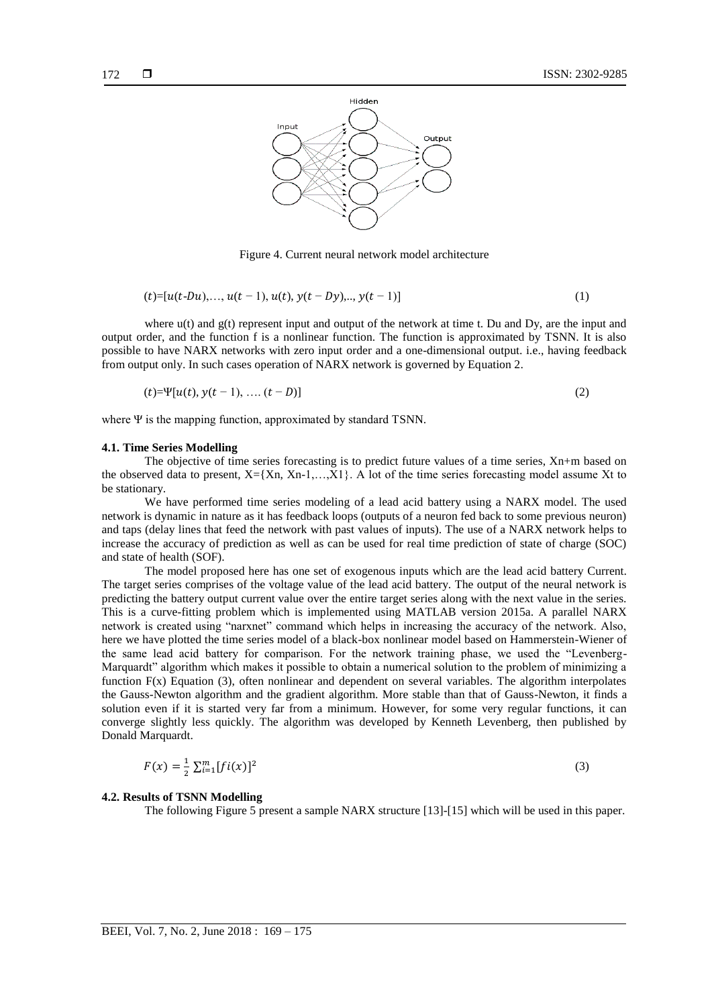

Figure 4. Current neural network model architecture

$$
(t) = [u(t-Du),...,u(t-1),u(t),y(t-Dy),...,y(t-1)]
$$
\n(1)

where  $u(t)$  and  $g(t)$  represent input and output of the network at time t. Du and Dy, are the input and output order, and the function f is a nonlinear function. The function is approximated by TSNN. It is also possible to have NARX networks with zero input order and a one-dimensional output. i.e., having feedback from output only. In such cases operation of NARX network is governed by Equation 2.

$$
(t)=\Psi[u(t), y(t-1), \dots (t-D)]
$$
\n(2)

where Ψ is the mapping function, approximated by standard TSNN.

#### **4.1. Time Series Modelling**

The objective of time series forecasting is to predict future values of a time series, Xn+m based on the observed data to present,  $X = \{X_n, X_{n-1},...,X_1\}$ . A lot of the time series forecasting model assume Xt to be stationary.

We have performed time series modeling of a lead acid battery using a NARX model. The used network is dynamic in nature as it has feedback loops (outputs of a neuron fed back to some previous neuron) and taps (delay lines that feed the network with past values of inputs). The use of a NARX network helps to increase the accuracy of prediction as well as can be used for real time prediction of state of charge (SOC) and state of health (SOF).

The model proposed here has one set of exogenous inputs which are the lead acid battery Current. The target series comprises of the voltage value of the lead acid battery. The output of the neural network is predicting the battery output current value over the entire target series along with the next value in the series. This is a curve-fitting problem which is implemented using MATLAB version 2015a. A parallel NARX network is created using "narxnet" command which helps in increasing the accuracy of the network. Also, here we have plotted the time series model of a black-box nonlinear model based on Hammerstein-Wiener of the same lead acid battery for comparison. For the network training phase, we used the "Levenberg-Marquardt" algorithm which makes it possible to obtain a numerical solution to the problem of minimizing a function  $F(x)$  Equation (3), often nonlinear and dependent on several variables. The algorithm interpolates the Gauss-Newton algorithm and the gradient algorithm. More stable than that of Gauss-Newton, it finds a solution even if it is started very far from a minimum. However, for some very regular functions, it can converge slightly less quickly. The algorithm was developed by Kenneth Levenberg, then published by Donald Marquardt.

$$
F(x) = \frac{1}{2} \sum_{i=1}^{m} [fi(x)]^2
$$
 (3)

# **4.2. Results of TSNN Modelling**

The following Figure 5 present a sample NARX structure [13]-[15] which will be used in this paper.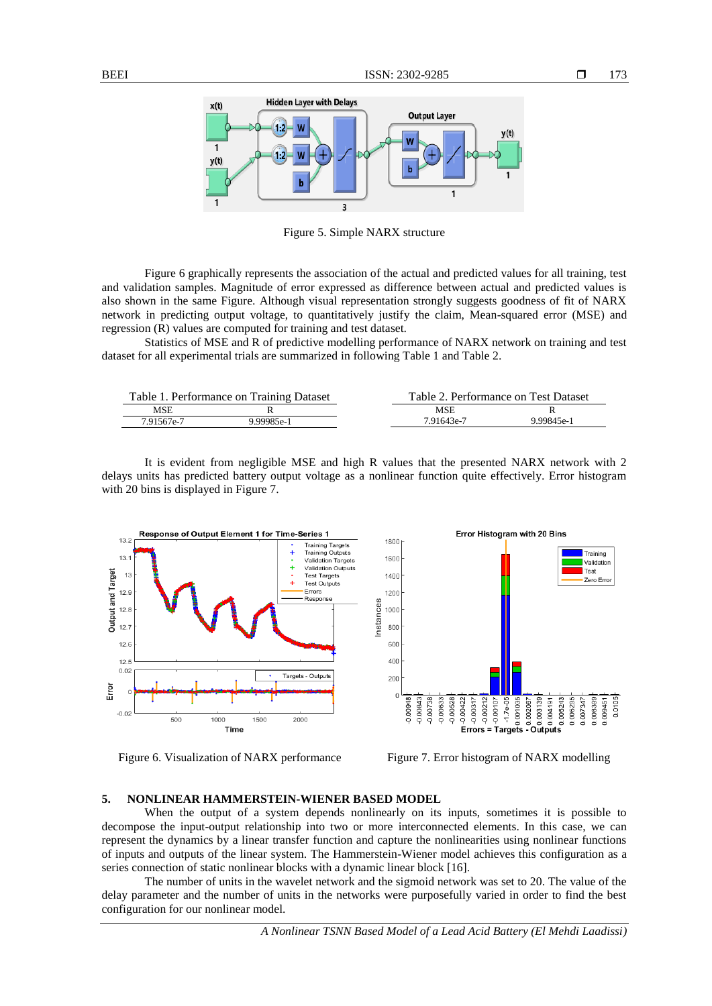

Figure 5. Simple NARX structure

Figure 6 graphically represents the association of the actual and predicted values for all training, test and validation samples. Magnitude of error expressed as difference between actual and predicted values is also shown in the same Figure. Although visual representation strongly suggests goodness of fit of NARX network in predicting output voltage, to quantitatively justify the claim, Mean-squared error (MSE) and regression (R) values are computed for training and test dataset.

Statistics of MSE and R of predictive modelling performance of NARX network on training and test dataset for all experimental trials are summarized in following Table 1 and Table 2.

| Table 1. Performance on Training Dataset |            |            | Table 2. Performance on Test Dataset |  |
|------------------------------------------|------------|------------|--------------------------------------|--|
| MSE                                      |            | <b>MSE</b> |                                      |  |
| 7.91567e-7                               | 9 99985e-1 | 7.91643e-7 | 9.99845e-1                           |  |

It is evident from negligible MSE and high R values that the presented NARX network with 2 delays units has predicted battery output voltage as a nonlinear function quite effectively. Error histogram with 20 bins is displayed in Figure 7.





#### **5. NONLINEAR HAMMERSTEIN-WIENER BASED MODEL**

When the output of a system depends nonlinearly on its inputs, sometimes it is possible to decompose the input-output relationship into two or more interconnected elements. In this case, we can represent the dynamics by a linear transfer function and capture the nonlinearities using nonlinear functions of inputs and outputs of the linear system. The Hammerstein-Wiener model achieves this configuration as a series connection of static nonlinear blocks with a dynamic linear block [16].

The number of units in the wavelet network and the sigmoid network was set to 20. The value of the delay parameter and the number of units in the networks were purposefully varied in order to find the best configuration for our nonlinear model.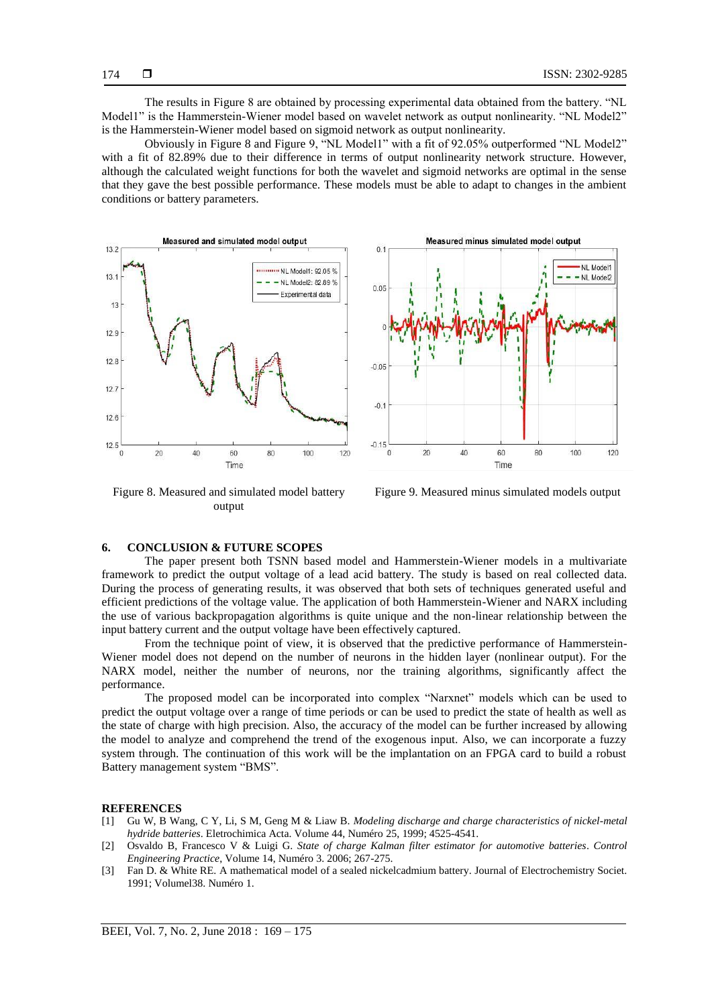The results in Figure 8 are obtained by processing experimental data obtained from the battery. "NL Model1" is the Hammerstein-Wiener model based on wavelet network as output nonlinearity. "NL Model2" is the Hammerstein-Wiener model based on sigmoid network as output nonlinearity.

Obviously in Figure 8 and Figure 9, "NL Model1" with a fit of 92.05% outperformed "NL Model2" with a fit of 82.89% due to their difference in terms of output nonlinearity network structure. However, although the calculated weight functions for both the wavelet and sigmoid networks are optimal in the sense that they gave the best possible performance. These models must be able to adapt to changes in the ambient conditions or battery parameters.



Figure 8. Measured and simulated model battery output

Figure 9. Measured minus simulated models output

# **6. CONCLUSION & FUTURE SCOPES**

The paper present both TSNN based model and Hammerstein-Wiener models in a multivariate framework to predict the output voltage of a lead acid battery. The study is based on real collected data. During the process of generating results, it was observed that both sets of techniques generated useful and efficient predictions of the voltage value. The application of both Hammerstein-Wiener and NARX including the use of various backpropagation algorithms is quite unique and the non-linear relationship between the input battery current and the output voltage have been effectively captured.

From the technique point of view, it is observed that the predictive performance of Hammerstein-Wiener model does not depend on the number of neurons in the hidden layer (nonlinear output). For the NARX model, neither the number of neurons, nor the training algorithms, significantly affect the performance.

The proposed model can be incorporated into complex "Narxnet" models which can be used to predict the output voltage over a range of time periods or can be used to predict the state of health as well as the state of charge with high precision. Also, the accuracy of the model can be further increased by allowing the model to analyze and comprehend the trend of the exogenous input. Also, we can incorporate a fuzzy system through. The continuation of this work will be the implantation on an FPGA card to build a robust Battery management system "BMS".

#### **REFERENCES**

- [1] Gu W, B Wang, C Y, Li, S M, Geng M & Liaw B. *Modeling discharge and charge characteristics of nickel-metal hydride batteries*. Eletrochimica Acta. Volume 44, Numéro 25, 1999; 4525-4541.
- [2] Osvaldo B, Francesco V & Luigi G. *State of charge Kalman filter estimator for automotive batteries*. *Control Engineering Practice*, Volume 14, Numéro 3. 2006; 267-275.
- [3] Fan D. & White RE. A mathematical model of a sealed nickelcadmium battery. Journal of Electrochemistry Societ. 1991; Volumel38. Numéro 1.